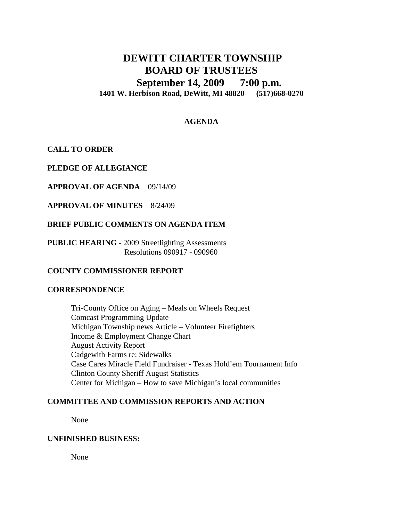# **DEWITT CHARTER TOWNSHIP BOARD OF TRUSTEES September 14, 2009 7:00 p.m. 1401 W. Herbison Road, DeWitt, MI 48820 (517)668-0270**

# **AGENDA**

# **CALL TO ORDER**

**PLEDGE OF ALLEGIANCE**

**APPROVAL OF AGENDA** 09/14/09

**APPROVAL OF MINUTES** 8/24/09

# **BRIEF PUBLIC COMMENTS ON AGENDA ITEM**

**PUBLIC HEARING -** 2009 Streetlighting Assessments Resolutions 090917 - 090960

# **COUNTY COMMISSIONER REPORT**

#### **CORRESPONDENCE**

Tri-County Office on Aging – Meals on Wheels Request Comcast Programming Update Michigan Township news Article – Volunteer Firefighters Income & Employment Change Chart August Activity Report Cadgewith Farms re: Sidewalks Case Cares Miracle Field Fundraiser - Texas Hold'em Tournament Info Clinton County Sheriff August Statistics Center for Michigan – How to save Michigan's local communities

# **COMMITTEE AND COMMISSION REPORTS AND ACTION**

None

#### **UNFINISHED BUSINESS:**

None